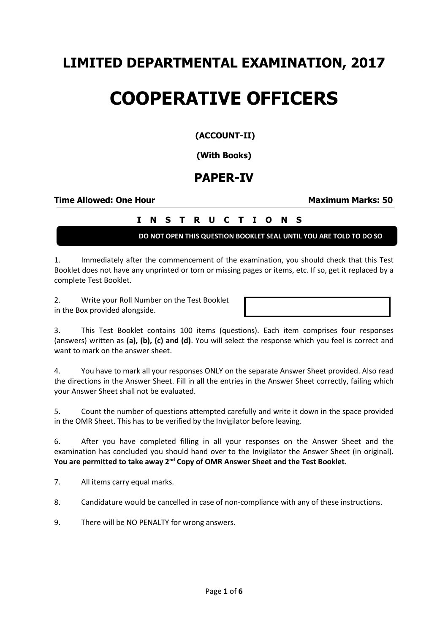## **LIMITED DEPARTMENTAL EXAMINATION, 2017**

# **COOPERATIVE OFFICERS**

#### **(ACCOUNT-II)**

**(With Books)**

### **PAPER-IV**

#### **Time Allowed: One Hour Maximum Marks: 50**

#### **I N S T R U C T I O N S**

**DO NOT OPEN THIS QUESTION BOOKLET SEAL UNTIL YOU ARE TOLD TO DO SO**

1. Immediately after the commencement of the examination, you should check that this Test Booklet does not have any unprinted or torn or missing pages or items, etc. If so, get it replaced by a complete Test Booklet.

2. Write your Roll Number on the Test Booklet in the Box provided alongside.

3. This Test Booklet contains 100 items (questions). Each item comprises four responses (answers) written as **(a), (b), (c) and (d)**. You will select the response which you feel is correct and want to mark on the answer sheet.

4. You have to mark all your responses ONLY on the separate Answer Sheet provided. Also read the directions in the Answer Sheet. Fill in all the entries in the Answer Sheet correctly, failing which your Answer Sheet shall not be evaluated.

5. Count the number of questions attempted carefully and write it down in the space provided in the OMR Sheet. This has to be verified by the Invigilator before leaving.

6. After you have completed filling in all your responses on the Answer Sheet and the examination has concluded you should hand over to the Invigilator the Answer Sheet (in original). **You are permitted to take away 2nd Copy of OMR Answer Sheet and the Test Booklet.**

7. All items carry equal marks.

8. Candidature would be cancelled in case of non-compliance with any of these instructions.

9. There will be NO PENALTY for wrong answers.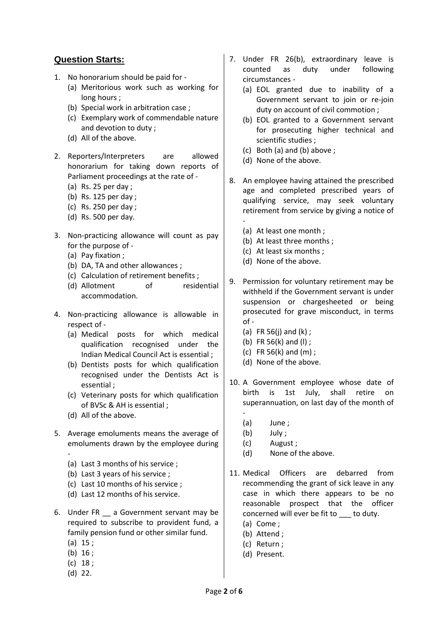#### **Question Starts:**

- 1. No honorarium should be paid for
	- (a) Meritorious work such as working for long hours ;
	- (b) Special work in arbitration case ;
	- (c) Exemplary work of commendable nature and devotion to duty ;
	- (d) All of the above.
- 2. Reporters/Interpreters are allowed honorarium for taking down reports of Parliament proceedings at the rate of -
	- (a) Rs. 25 per day ;
	- (b) Rs. 125 per day ;
	- (c) Rs. 250 per day ;
	- (d) Rs. 500 per day.
- 3. Non-practicing allowance will count as pay for the purpose of -
	- (a) Pay fixation ;
	- (b) DA, TA and other allowances ;
	- (c) Calculation of retirement benefits ;
	- (d) Allotment of residential accommodation.
- 4. Non-practicing allowance is allowable in respect of -
	- (a) Medical posts for which medical qualification recognised under the Indian Medical Council Act is essential ;
	- (b) Dentists posts for which qualification recognised under the Dentists Act is essential ;
	- (c) Veterinary posts for which qualification of BVSc & AH is essential ;
	- (d) All of the above.
- 5. Average emoluments means the average of emoluments drawn by the employee during -
	- (a) Last 3 months of his service ;
	- (b) Last 3 years of his service ;
	- (c) Last 10 months of his service ;
	- (d) Last 12 months of his service.
- 6. Under FR \_\_ a Government servant may be required to subscribe to provident fund, a family pension fund or other similar fund.
	- (a) 15 ;
	- (b) 16 ;
	- (c) 18 ;
	- (d) 22.
- 7. Under FR 26(b), extraordinary leave is counted as duty under following circumstances -
	- (a) EOL granted due to inability of a Government servant to join or re-join duty on account of civil commotion ;
	- (b) EOL granted to a Government servant for prosecuting higher technical and scientific studies ;
	- (c) Both (a) and (b) above ;
	- (d) None of the above.
- 8. An employee having attained the prescribed age and completed prescribed years of qualifying service, may seek voluntary retirement from service by giving a notice of
	- (a) At least one month ;
	- (b) At least three months ;
	- (c) At least six months ;
	- (d) None of the above.
- 9. Permission for voluntary retirement may be withheld if the Government servant is under suspension or chargesheeted or being prosecuted for grave misconduct, in terms of -
	- (a) FR 56(j) and  $(k)$ ;
	- (b) FR 56(k) and (l) ;
	- (c) FR 56(k) and (m) ;
	- (d) None of the above.
- 10. A Government employee whose date of birth is 1st July, shall retire on superannuation, on last day of the month of -
	- (a) June ;
	- (b) July ;
	- (c) August ;
	- (d) None of the above.
- 11. Medical Officers are debarred from recommending the grant of sick leave in any case in which there appears to be no reasonable prospect that the officer concerned will ever be fit to to duty.
	- (a) Come ;
	- (b) Attend ;
	- (c) Return ;
	- (d) Present.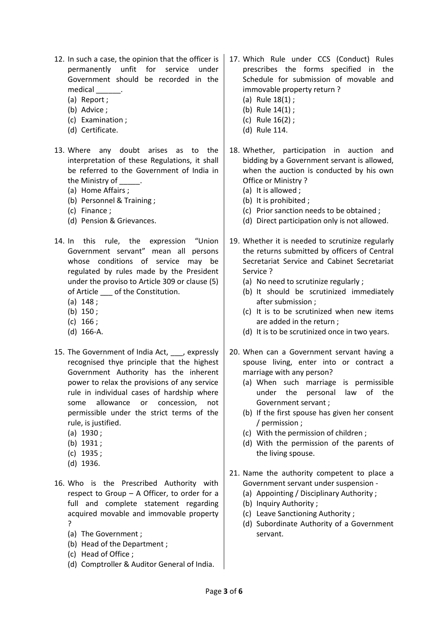- 12. In such a case, the opinion that the officer is permanently unfit for service under Government should be recorded in the medical \_\_\_\_\_\_.
	- (a) Report ;
	- (b) Advice ;
	- (c) Examination ;
	- (d) Certificate.
- 13. Where any doubt arises as to the interpretation of these Regulations, it shall be referred to the Government of India in the Ministry of
	- (a) Home Affairs ;
	- (b) Personnel & Training ;
	- (c) Finance ;
	- (d) Pension & Grievances.
- 14. In this rule, the expression "Union Government servant" mean all persons whose conditions of service may be regulated by rules made by the President under the proviso to Article 309 or clause (5) of Article \_\_\_ of the Constitution.
	- (a) 148 ;
	- (b) 150 ;
	- (c) 166 ;
	- (d) 166-A.
- 15. The Government of India Act. **.** expressly recognised thye principle that the highest Government Authority has the inherent power to relax the provisions of any service rule in individual cases of hardship where some allowance or concession, not permissible under the strict terms of the rule, is justified.
	- (a) 1930 ;
	- (b) 1931 ;
	- (c) 1935 ;
	- (d) 1936.
- 16. Who is the Prescribed Authority with respect to Group – A Officer, to order for a full and complete statement regarding acquired movable and immovable property ?
	- (a) The Government ;
	- (b) Head of the Department ;
	- (c) Head of Office ;
	- (d) Comptroller & Auditor General of India.
- 17. Which Rule under CCS (Conduct) Rules prescribes the forms specified in the Schedule for submission of movable and immovable property return ?
	- (a) Rule 18(1) ;
	- (b) Rule 14(1) ;
	- (c) Rule 16(2) ;
	- (d) Rule 114.
- 18. Whether, participation in auction and bidding by a Government servant is allowed, when the auction is conducted by his own Office or Ministry ?
	- (a) It is allowed ;
	- (b) It is prohibited ;
	- (c) Prior sanction needs to be obtained ;
	- (d) Direct participation only is not allowed.
- 19. Whether it is needed to scrutinize regularly the returns submitted by officers of Central Secretariat Service and Cabinet Secretariat Service ?
	- (a) No need to scrutinize regularly ;
	- (b) It should be scrutinized immediately after submission ;
	- (c) It is to be scrutinized when new items are added in the return ;
	- (d) It is to be scrutinized once in two years.
- 20. When can a Government servant having a spouse living, enter into or contract a marriage with any person?
	- (a) When such marriage is permissible under the personal law of the Government servant ;
	- (b) If the first spouse has given her consent / permission ;
	- (c) With the permission of children ;
	- (d) With the permission of the parents of the living spouse.
- 21. Name the authority competent to place a Government servant under suspension -
	- (a) Appointing / Disciplinary Authority ;
	- (b) Inquiry Authority ;
	- (c) Leave Sanctioning Authority ;
	- (d) Subordinate Authority of a Government servant.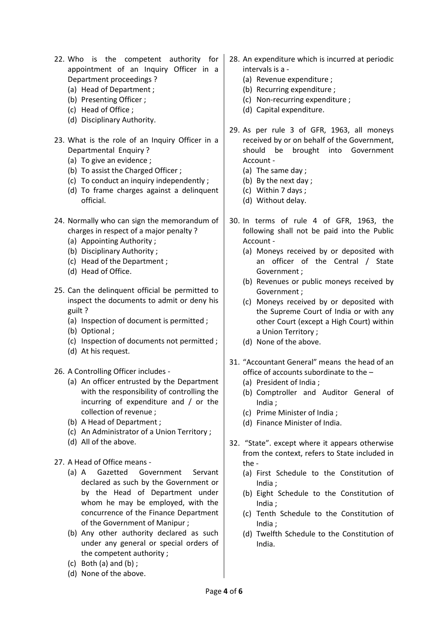- 22. Who is the competent authority for appointment of an Inquiry Officer in a Department proceedings ?
	- (a) Head of Department ;
	- (b) Presenting Officer ;
	- (c) Head of Office ;
	- (d) Disciplinary Authority.
- 23. What is the role of an Inquiry Officer in a Departmental Enquiry ?
	- (a) To give an evidence ;
	- (b) To assist the Charged Officer ;
	- (c) To conduct an inquiry independently ;
	- (d) To frame charges against a delinquent official.
- 24. Normally who can sign the memorandum of charges in respect of a major penalty ?
	- (a) Appointing Authority ;
	- (b) Disciplinary Authority ;
	- (c) Head of the Department ;
	- (d) Head of Office.
- 25. Can the delinquent official be permitted to inspect the documents to admit or deny his guilt ?
	- (a) Inspection of document is permitted ;
	- (b) Optional ;
	- (c) Inspection of documents not permitted ;
	- (d) At his request.
- 26. A Controlling Officer includes
	- (a) An officer entrusted by the Department with the responsibility of controlling the incurring of expenditure and / or the collection of revenue ;
	- (b) A Head of Department ;
	- (c) An Administrator of a Union Territory ;
	- (d) All of the above.
- 27. A Head of Office means
	- (a) A Gazetted Government Servant declared as such by the Government or by the Head of Department under whom he may be employed, with the concurrence of the Finance Department of the Government of Manipur ;
	- (b) Any other authority declared as such under any general or special orders of the competent authority ;
	- $(c)$  Both  $(a)$  and  $(b)$ ;
	- (d) None of the above.
- 28. An expenditure which is incurred at periodic intervals is a -
	- (a) Revenue expenditure ;
	- (b) Recurring expenditure ;
	- (c) Non-recurring expenditure ;
	- (d) Capital expenditure.
- 29. As per rule 3 of GFR, 1963, all moneys received by or on behalf of the Government, should be brought into Government Account -
	- (a) The same day ;
	- (b) By the next day ;
	- (c) Within 7 days ;
	- (d) Without delay.
- 30. In terms of rule 4 of GFR, 1963, the following shall not be paid into the Public Account -
	- (a) Moneys received by or deposited with an officer of the Central / State Government ;
	- (b) Revenues or public moneys received by Government ;
	- (c) Moneys received by or deposited with the Supreme Court of India or with any other Court (except a High Court) within a Union Territory ;
	- (d) None of the above.
- 31. "Accountant General" means the head of an office of accounts subordinate to the –
	- (a) President of India ;
	- (b) Comptroller and Auditor General of India ;
	- (c) Prime Minister of India ;
	- (d) Finance Minister of India.
- 32. "State". except where it appears otherwise from the context, refers to State included in the -
	- (a) First Schedule to the Constitution of India ;
	- (b) Eight Schedule to the Constitution of India ;
	- (c) Tenth Schedule to the Constitution of India ;
	- (d) Twelfth Schedule to the Constitution of India.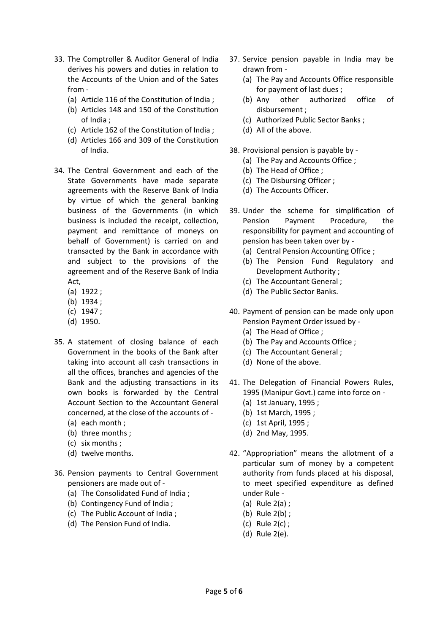- 33. The Comptroller & Auditor General of India derives his powers and duties in relation to the Accounts of the Union and of the Sates from -
	- (a) Article 116 of the Constitution of India ;
	- (b) Articles 148 and 150 of the Constitution of India ;
	- (c) Article 162 of the Constitution of India ;
	- (d) Articles 166 and 309 of the Constitution of India.
- 34. The Central Government and each of the State Governments have made separate agreements with the Reserve Bank of India by virtue of which the general banking business of the Governments (in which business is included the receipt, collection, payment and remittance of moneys on behalf of Government) is carried on and transacted by the Bank in accordance with and subject to the provisions of the agreement and of the Reserve Bank of India Act,
	- (a) 1922 ;
	- (b) 1934 ;
	- (c) 1947 ;
	- (d) 1950.
- 35. A statement of closing balance of each Government in the books of the Bank after taking into account all cash transactions in all the offices, branches and agencies of the Bank and the adjusting transactions in its own books is forwarded by the Central Account Section to the Accountant General concerned, at the close of the accounts of -
	- (a) each month ;
	- (b) three months ;
	- (c) six months ;
	- (d) twelve months.
- 36. Pension payments to Central Government pensioners are made out of -
	- (a) The Consolidated Fund of India ;
	- (b) Contingency Fund of India ;
	- (c) The Public Account of India ;
	- (d) The Pension Fund of India.
- 37. Service pension payable in India may be drawn from -
	- (a) The Pay and Accounts Office responsible for payment of last dues ;
	- (b) Any other authorized office of disbursement ;
	- (c) Authorized Public Sector Banks ;
	- (d) All of the above.
- 38. Provisional pension is payable by
	- (a) The Pay and Accounts Office ;
	- (b) The Head of Office ;
	- (c) The Disbursing Officer ;
	- (d) The Accounts Officer.
- 39. Under the scheme for simplification of Pension Payment Procedure, the responsibility for payment and accounting of pension has been taken over by -
	- (a) Central Pension Accounting Office ;
	- (b) The Pension Fund Regulatory and Development Authority ;
	- (c) The Accountant General ;
	- (d) The Public Sector Banks.
- 40. Payment of pension can be made only upon Pension Payment Order issued by -
	- (a) The Head of Office ;
	- (b) The Pay and Accounts Office ;
	- (c) The Accountant General ;
	- (d) None of the above.
- 41. The Delegation of Financial Powers Rules, 1995 (Manipur Govt.) came into force on -
	- (a) 1st January, 1995 ;
	- (b) 1st March, 1995 ;
	- (c) 1st April, 1995 ;
	- (d) 2nd May, 1995.
- 42. "Appropriation" means the allotment of a particular sum of money by a competent authority from funds placed at his disposal, to meet specified expenditure as defined under Rule -
	- (a) Rule 2(a) ;
	- (b) Rule 2(b) ;
	- (c) Rule 2(c) ;
	- (d) Rule 2(e).